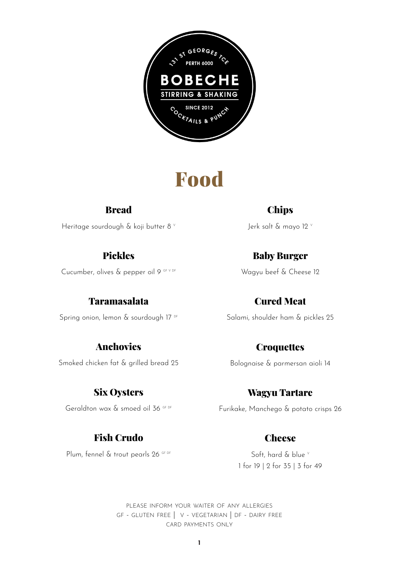

### Food

#### Bread

Heritage sourdough & koji butter 8 v

#### Pickles

Cucumber, olives & pepper oil 9 GF V DF

#### Taramasalata

Spring onion, lemon & sourdough 17<sup>DF</sup>

#### Anchovies

Smoked chicken fat & grilled bread 25

#### Six Oysters

Geraldton wax & smoed oil 36 GF DF

#### Fish Crudo

Plum, fennel & trout pearls 26 GF DF

**Chips** 

Jerk salt & mayo 12 v

#### Baby Burger

Wagyu beef & Cheese 12

#### Cured Meat

Salami, shoulder ham & pickles 25

### **Croquettes**

Bolognaise & parmersan aioli 14

#### Wagyu Tartare

Furikake, Manchego & potato crisps 26

#### **Cheese**

Soft, hard & blue v 1 for 19 | 2 for 35 | 3 for 49

please inform your waiter of any allergies gf - gluten free | v - vegetarian | df - dairy free card payments only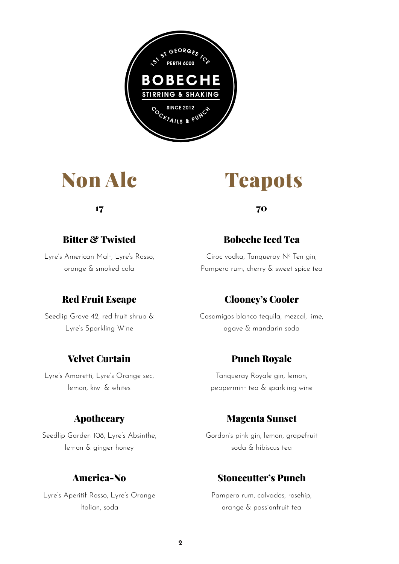

### Non Alc

17

#### Bitter & Twisted

Lyre's American Malt, Lyre's Rosso, orange & smoked cola

#### Red Fruit Escape

Seedlip Grove 42, red fruit shrub & Lyre's Sparkling Wine

#### Velvet Curtain

Lyre's Amaretti, Lyre's Orange sec, lemon, kiwi & whites

#### Apothecary

Seedlip Garden 108, Lyre's Absinthe, lemon & ginger honey

#### America-No

Lyre's Aperitif Rosso, Lyre's Orange Italian, soda

### **Teapots**

70

#### Bobeche Iced Tea

Ciroc vodka, Tanqueray Nº Ten gin, Pampero rum, cherry & sweet spice tea

#### Clooney's Cooler

Casamigos blanco tequila, mezcal, lime, agave & mandarin soda

#### Punch Royale

Tanqueray Royale gin, lemon, peppermint tea & sparkling wine

#### Magenta Sunset

Gordon's pink gin, lemon, grapefruit soda & hibiscus tea

#### Stonecutter's Punch

Pampero rum, calvados, rosehip, orange & passionfruit tea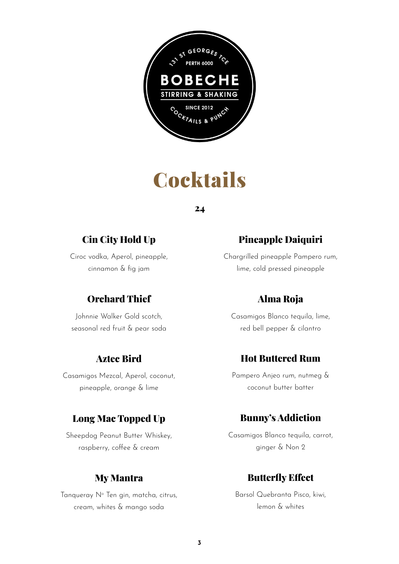

## **Cocktails**

24

#### Cin City Hold Up

Ciroc vodka, Aperol, pineapple, cinnamon & fig jam

#### Orchard Thief

Johnnie Walker Gold scotch, seasonal red fruit & pear soda

#### Aztec Bird

Casamigos Mezcal, Aperol, coconut, pineapple, orange & lime

#### Long Mac Topped Up

Sheepdog Peanut Butter Whiskey, raspberry, coffee & cream

#### My Mantra

Tanqueray Nº Ten gin, matcha, citrus, cream, whites & mango soda

#### Pineapple Daiquiri

Chargrilled pineapple Pampero rum, lime, cold pressed pineapple

#### Alma Roja

Casamigos Blanco tequila, lime, red bell pepper & cilantro

#### Hot Buttered Rum

Pampero Anjeo rum, nutmeg & coconut butter batter

#### Bunny's Addiction

Casamigos Blanco tequila, carrot, ginger & Non 2

#### Butterfly Effect

Barsol Quebranta Pisco, kiwi, lemon & whites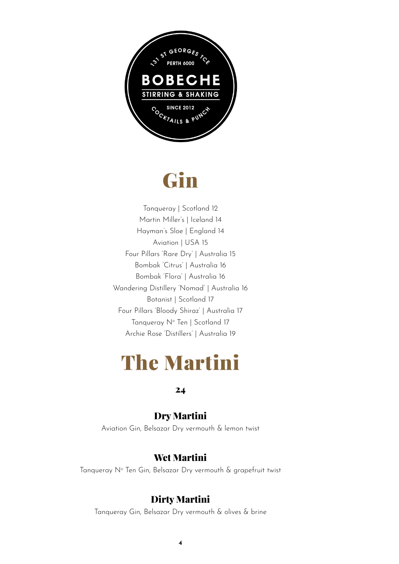

## Gin

Tanqueray | Scotland 12 Martin Miller's | Iceland 14 Hayman's Sloe | England 14 Aviation | USA 15 Four Pillars 'Rare Dry' | Australia 15 Bombak 'Citrus' | Australia 16 Bombak 'Flora' | Australia 16 Wandering Distillery 'Nomad' | Australia 16 Botanist | Scotland 17 Four Pillars 'Bloody Shiraz' | Australia 17 Tanqueray N° Ten | Scotland 17 Archie Rose 'Distillers' | Australia 19

### The Martini

#### 24

#### Dry Martini

Aviation Gin, Belsazar Dry vermouth & lemon twist

#### Wet Martini

Tanqueray N° Ten Gin, Belsazar Dry vermouth & grapefruit twist

#### Dirty Martini

Tanqueray Gin, Belsazar Dry vermouth & olives & brine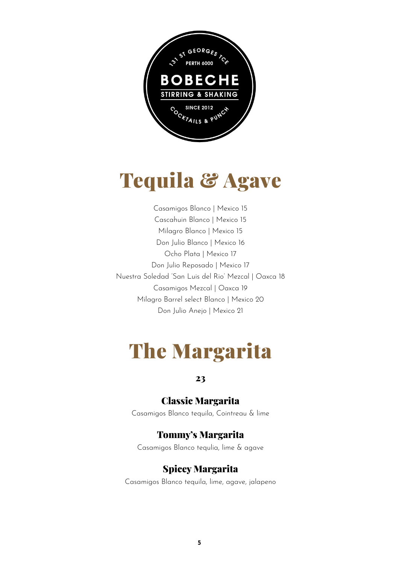

## Tequila & Agave

Casamigos Blanco | Mexico 15 Cascahuin Blanco | Mexico 15 Milagro Blanco | Mexico 15 Don Julio Blanco | Mexico 16 Ocho Plata | Mexico 17 Don Julio Reposado | Mexico 17 Nuestra Soledad 'San Luis del Rio' Mezcal | Oaxca 18 Casamigos Mezcal | Oaxca 19 Milagro Barrel select Blanco | Mexico 20 Don Julio Anejo | Mexico 21

### The Margarita

23

#### Classic Margarita

Casamigos Blanco tequila, Cointreau & lime

#### Tommy's Margarita

Casamigos Blanco tequlia, lime & agave

#### Spicey Margarita

Casamigos Blanco tequila, lime, agave, jalapeno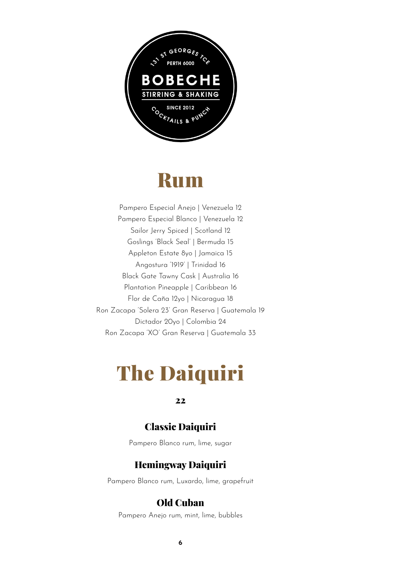

### **Rum**

Pampero Especial Anejo | Venezuela 12 Pampero Especial Blanco | Venezuela 12 Sailor Jerry Spiced | Scotland 12 Goslings 'Black Seal' | Bermuda 15 Appleton Estate 8yo | Jamaica 15 Angostura '1919' | Trinidad 16 Black Gate Tawny Cask | Australia 16 Plantation Pineapple | Caribbean 16 Flor de Caña 12yo | Nicaragua 18 Ron Zacapa 'Solera 23' Gran Reserva | Guatemala 19 Dictador 20yo | Colombia 24 Ron Zacapa 'XO' Gran Reserva | Guatemala 33

## The Daiquiri

22

#### Classic Daiquiri

Pampero Blanco rum, lime, sugar

#### Hemingway Daiquiri

Pampero Blanco rum, Luxardo, lime, grapefruit

#### Old Cuban

Pampero Anejo rum, mint, lime, bubbles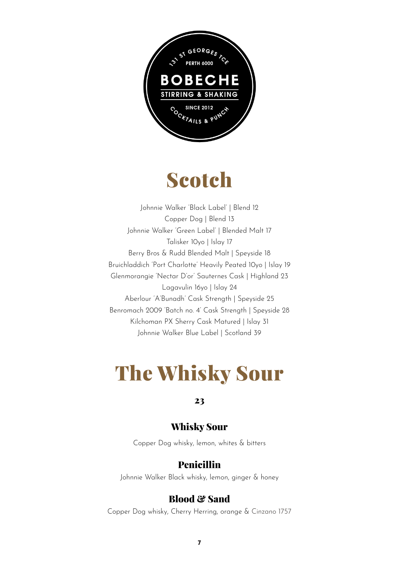

## Scotch

Johnnie Walker 'Black Label' | Blend 12 Copper Dog | Blend 13 Johnnie Walker 'Green Label' | Blended Malt 17 Talisker 10yo | Islay 17 Berry Bros & Rudd Blended Malt | Speyside 18 Bruichladdich 'Port Charlotte' Heavily Peated 10yo | Islay 19 Glenmorangie 'Nectar D'or' Sauternes Cask | Highland 23 Lagavulin 16yo | Islay 24 Aberlour 'A'Bunadh' Cask Strength | Speyside 25 Benromach 2009 'Batch no. 4' Cask Strength | Speyside 28 Kilchoman PX Sherry Cask Matured | Islay 31 Johnnie Walker Blue Label | Scotland 39

## The Whisky Sour

#### 23

#### Whisky Sour

Copper Dog whisky, lemon, whites & bitters

#### Penicillin

Johnnie Walker Black whisky, lemon, ginger & honey

#### Blood & Sand

Copper Dog whisky, Cherry Herring, orange & Cinzano 1757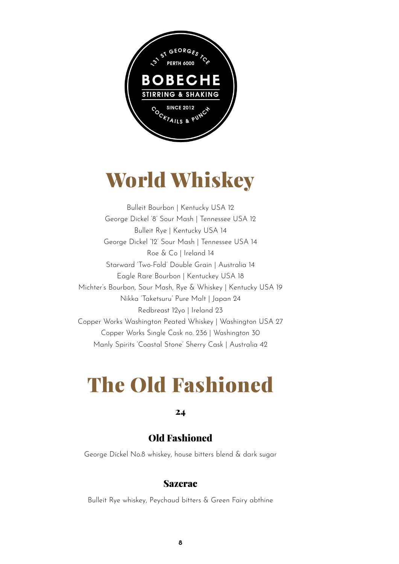

## World Whiskey

Bulleit Bourbon | Kentucky USA 12 George Dickel '8' Sour Mash | Tennessee USA 12 Bulleit Rye | Kentucky USA 14 George Dickel '12' Sour Mash | Tennessee USA 14 Roe & Co | Ireland 14 Starward 'Two-Fold' Double Grain | Australia 14 Eagle Rare Bourbon | Kentuckey USA 18 Michter's Bourbon, Sour Mash, Rye & Whiskey | Kentucky USA 19 Nikka 'Taketsuru' Pure Malt | Japan 24 Redbreast 12yo | Ireland 23 Copper Works Washington Peated Whiskey | Washington USA 27 Copper Works Single Cask no. 236 | Washington 30 Manly Spirits 'Coastal Stone' Sherry Cask | Australia 42

## The Old Fashioned

#### 24

#### Old Fashioned

George Dickel No.8 whiskey, house bitters blend & dark sugar

#### Sazerac

Bulleit Rye whiskey, Peychaud bitters & Green Fairy abthine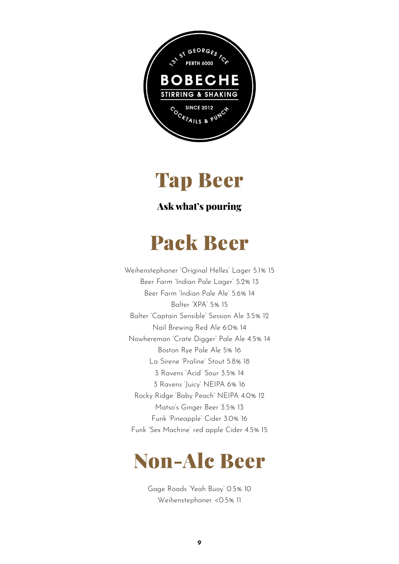



#### Ask what's pouring

### Pack Beer

Weihenstephaner 'Original Helles' Lager 5.1% 15 Beer Farm 'Indian Pale Lager' 5.2% 13 Beer Farm 'Indian Pale Ale' 5.6% 14 Balter 'XPA' 5% 15 Balter 'Captain Sensible' Session Ale 3.5% 12 Nail Brewing Red Ale 6.0% 14 Nowhereman 'Crate Digger' Pale Ale 4.5% 14 Boston Rye Pale Ale 5% 16 La Sirene 'Praline' Stout 5.8% 18 3 Ravens 'Acid' Sour 3.5% 14 3 Ravens 'Juicy' NEIPA 6% 16 Rocky Ridge 'Baby Peach' NEIPA 4.0% 12 Matso's Ginger Beer 3.5% 13 Funk 'Pineapple' Cider 3.0% 16 Funk 'Sex Machine' red apple Cider 4.5% 15

### Non-Alc Beer

Gage Roads 'Yeah Buoy' 0.5% 10 Weihenstephaner <0.5% 11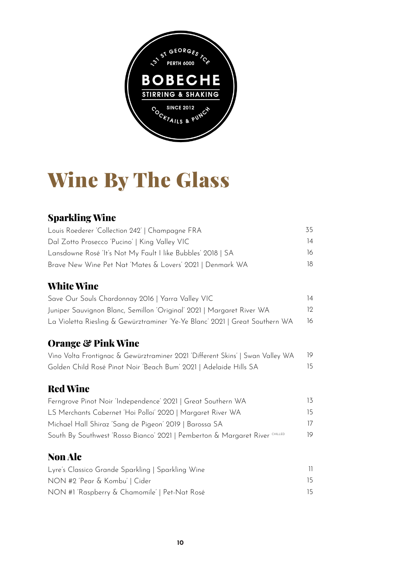

# Wine By The Glass

#### Sparkling Wine

| Louis Roederer 'Collection 242'   Champagne FRA                                | 35                       |
|--------------------------------------------------------------------------------|--------------------------|
| Dal Zotto Prosecco 'Pucino'   King Valley VIC                                  | 14                       |
| Lansdowne Rosé 'It's Not My Fault I like Bubbles' 2018   SA                    | 16                       |
| Brave New Wine Pet Nat 'Mates & Lovers' 2021   Denmark WA                      | 18                       |
| <b>White Wine</b>                                                              |                          |
| Save Our Souls Chardonnay 2016   Yarra Valley VIC                              | 14                       |
| Juniper Sauvignon Blanc, Semillon 'Original' 2021   Margaret River WA          | 12                       |
| La Violetta Riesling & Gewürztraminer 'Ye-Ye Blanc' 2021   Great Southern WA   | 16                       |
| <b>Orange &amp; Pink Wine</b>                                                  |                          |
| Vino Volta Frontignac & Gewürztraminer 2021 'Different Skins'   Swan Valley WA | 19                       |
| Golden Child Rosé Pinot Noir 'Beach Bum' 2021   Adelaide Hills SA              | 15                       |
| <b>Red Wine</b>                                                                |                          |
| Ferngrove Pinot Noir 'Independence' 2021   Great Southern WA                   | 13                       |
| LS Merchants Cabernet 'Hoi Polloi' 2020   Margaret River WA                    | 15                       |
| Michael Hall Shiraz 'Sang de Pigeon' 2019   Barossa SA                         | 17                       |
| South By Southwest 'Rosso Bianco' 2021   Pemberton & Margaret River CHILLED    | 19                       |
| <b>Non Alc</b>                                                                 |                          |
| Lyre's Classico Grande Sparkling   Sparkling Wine                              | $\overline{\phantom{a}}$ |
| NON #2 'Pear & Kombu'   Cider                                                  | 15                       |

15

NON #1 'Raspberry & Chamomile' | Pet-Nat Rosé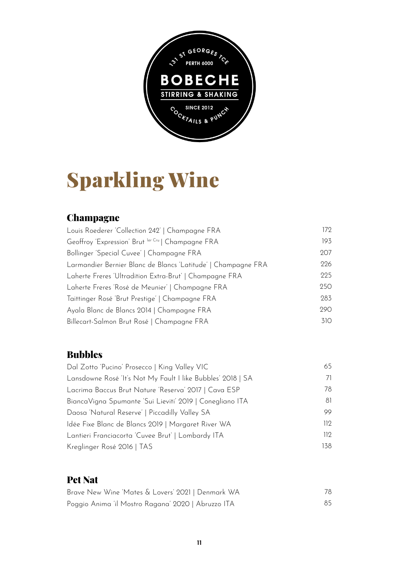

# Sparkling Wine

#### **Champagne**

| Louis Roederer 'Collection 242'   Champagne FRA               | 172 |
|---------------------------------------------------------------|-----|
| Geoffroy 'Expression' Brut ler Cru   Champagne FRA            | 193 |
| Bollinger 'Special Cuvee'   Champagne FRA                     | 207 |
| Larmandier Bernier Blanc de Blancs 'Latitude'   Champagne FRA | 226 |
| Laherte Freres 'Ultradition Extra-Brut'   Champagne FRA       | 225 |
| Laherte Freres 'Rosé de Meunier'   Champagne FRA              | 250 |
| Taittinger Rosé 'Brut Prestige'   Champagne FRA               | 283 |
| Ayala Blanc de Blancs 2014   Champagne FRA                    | 290 |
| Billecart-Salmon Brut Rosé   Champagne FRA                    | 310 |

#### Bubbles

| Dal Zotto 'Pucino' Prosecco   King Valley VIC               | 65   |
|-------------------------------------------------------------|------|
| Lansdowne Rosé 'It's Not My Fault I like Bubbles' 2018   SA | 71   |
| Lacrima Baccus Brut Nature 'Reserva' 2017   Cava ESP        | 78   |
| Bianca Vigna Spumante 'Sui Lieviti' 2019   Conegliano ITA   | 81   |
| Daosa 'Natural Reserve'   Piccadilly Valley SA              | 99   |
| Idée Fixe Blanc de Blancs 2019   Margaret River WA          | 112  |
| Lantieri Franciacorta 'Cuvee Brut'   Lombardy ITA           | 112  |
| Kreglinger Rosé 2016   TAS                                  | 138. |

#### Pet Nat

| Brave New Wine 'Mates & Lovers' 2021   Denmark WA  | 78. |
|----------------------------------------------------|-----|
| Poggio Anima 'il Mostro Ragana' 2020   Abruzzo ITA | 85. |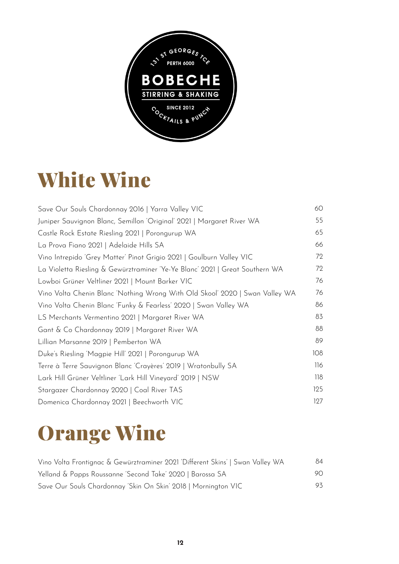

## White Wine

| Save Our Souls Chardonnay 2016   Yarra Valley VIC                            | 60  |
|------------------------------------------------------------------------------|-----|
| Juniper Sauvignon Blanc, Semillon 'Original' 2021   Margaret River WA        | 55  |
| Castle Rock Estate Riesling 2021   Porongurup WA                             | 65  |
| La Prova Fiano 2021   Adelaide Hills SA                                      | 66  |
| Vino Intrepido 'Grey Matter' Pinot Grigio 2021   Goulburn Valley VIC         | 72  |
| La Violetta Riesling & Gewürztraminer 'Ye-Ye Blanc' 2021   Great Southern WA | 72  |
| Lowboi Grüner Veltliner 2021   Mount Barker VIC                              | 76  |
| Vino Volta Chenin Blanc 'Nothing Wrong With Old Skool' 2020   Swan Valley WA | 76  |
| Vino Volta Chenin Blanc Funky & Fearless' 2020   Swan Valley WA              | 86  |
| LS Merchants Vermentino 2021   Margaret River WA                             | 83  |
| Gant & Co Chardonnay 2019   Margaret River WA                                | 88  |
| Lillian Marsanne 2019   Pemberton WA                                         | 89  |
| Duke's Riesling 'Magpie Hill' 2021   Porongurup WA                           | 108 |
| Terre à Terre Sauvignon Blanc 'Crayères' 2019   Wratonbully SA               | 116 |
| Lark Hill Grüner Veltliner 'Lark Hill Vineyard' 2019   NSW                   | 118 |
| Stargazer Chardonnay 2020   Coal River TAS                                   | 125 |
| Domenica Chardonnay 2021   Beechworth VIC                                    | 127 |

# Orange Wine

| Vino Volta Frontignac & Gewürztraminer 2021 'Different Skins'   Swan Valley WA                                              | 84  |
|-----------------------------------------------------------------------------------------------------------------------------|-----|
| Yelland & Papps Roussanne 'Second Take' 2020   Barossa SA<br>Save Our Souls Chardonnay 'Skin On Skin' 2018   Mornington VIC | 90. |
|                                                                                                                             | 93. |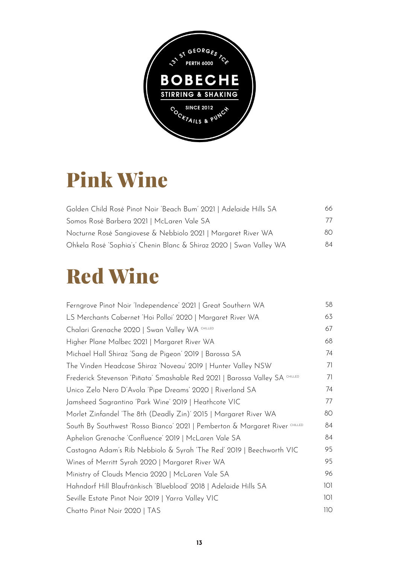

# Pink Wine

| Golden Child Rosé Pinot Noir 'Beach Bum' 2021   Adelaide Hills SA  | 66. |
|--------------------------------------------------------------------|-----|
| Somos Rosé Barbera 2021   McLaren Vale SA                          | 77  |
| Nocturne Rosé Sangiovese & Nebbiolo 2021   Margaret River WA       | 80. |
| Ohkela Rosé 'Sophia's' Chenin Blanc & Shiraz 2020   Swan Valley WA | 84  |

# Red Wine

| Ferngrove Pinot Noir 'Independence' 2021   Great Southern WA                | 58  |
|-----------------------------------------------------------------------------|-----|
| LS Merchants Cabernet 'Hoi Polloi' 2020   Margaret River WA                 | 63  |
| Chalari Grenache 2020   Swan Valley WA CHILLED                              | 67  |
| Higher Plane Malbec 2021   Margaret River WA                                | 68  |
| Michael Hall Shiraz 'Sang de Pigeon' 2019   Barossa SA                      | 74  |
| The Vinden Headcase Shiraz 'Noveau' 2019   Hunter Valley NSW                | 71  |
| Frederick Stevenson 'Piñata' Smashable Red 2021   Barossa Valley SA CHILLED | 71  |
| Unico Zelo Nero D'Avola 'Pipe Dreams' 2020   Riverland SA                   | 74  |
| Jamsheed Sagrantino 'Park Wine' 2019   Heathcote VIC                        | 77  |
| Morlet Zinfandel 'The 8th (Deadly Zin)' 2015   Margaret River WA            | 80  |
| South By Southwest 'Rosso Bianco' 2021   Pemberton & Margaret River CHILLED | 84  |
| Aphelion Grenache 'Confluence' 2019   McLaren Vale SA                       | 84  |
| Castagna Adam's Rib Nebbiolo & Syrah 'The Red' 2019   Beechworth VIC        | 95  |
| Wines of Merritt Syrah 2020   Margaret River WA                             | 95  |
| Ministry of Clouds Mencia 2020   McLaren Vale SA                            | 96  |
| Hahndorf Hill Blaufränkisch 'Blueblood' 2018   Adelaide Hills SA            | 101 |
| Seville Estate Pinot Noir 2019   Yarra Valley VIC                           | 101 |
| Chatto Pinot Noir 2020   TAS                                                | 110 |